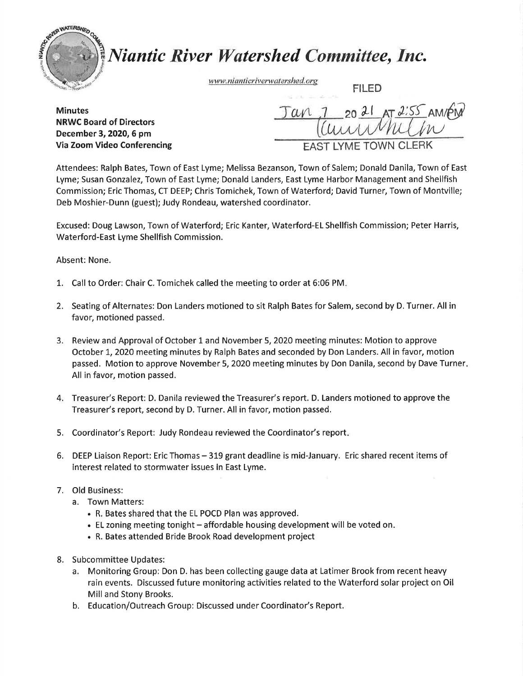

## **Niantic River Watershed Committee, Inc.**

www.nianticriverwatershed.org

FILED

**Minutes** NRWC Board of Directors December 3, 2020, 6 pm Via Zoom Video Conferencing

20  $21$  AT  $2.55$ an  $\overline{\mathcal{W}}$ LYME TOWN CLERK

Attendees: Ralph Bates, Town of East Lyme; Melissa Bezanson, Town of Salem; Donald Danila, Town of East Lyme; Susan Gonzalez, Town of East Lyme; Donald Landers, East Lyme Harbor Management and Shellfish Commission; Eric Thomas, CT DEEP; Chris Tomichek, Town of Waterford; David Turner, Town of Montville; Deb Moshier-Dunn (guest); Judy Rondeau, watershed coordinator.

Excused: Doug Lawson, Town of Waterford; Eric Kanter, Waterford-ELShellfish Commission; Peter Harris, Waterford-East Lyme Shellfish Commission.

## Absent: None.

- 1. Call to Order: Chair C. Tomichek called the meeting to order at 6:06 PM.
- 2. Seating of Alternates: Don Landers motioned to sit Ralph Bates for Salem, second by D. Turner. All in favor, motioned passed.
- 3. Review and Approvalof October l and November 5,2020 meeting minutes: Motion to approve October 1, 2020 meeting minutes by Ralph Bates and seconded by Don Landers. All in favor, motion passed. Motion to approve November 5, 2020 meeting minutes by Don Danila, second by Dave Turner. All in favor, motion passed.
- 4. Treasurer's Report: D. Danila reviewed the Treasurer's report. D. Landers motioned to approve the Treasurer's report, second by D. Turner. All in favor, motion passed.
- 5. Coordinator's Report: Judy Rondeau reviewed the Coordinator's report.
- 6. DEEP Liaison Report: Eric Thomas 319 grant deadline is mid-January. Eric shared recent items of interest related to stormwater lssues ln East Lyme.

## 7. Old Business:

- a. Town Matters:
	- . R, Bates shared that the EL POCD Plan was approved.
	- EL zoning meeting tonight affordable housing development will be voted on.
	- . R. Bates attended Bride Brook Road development project
- 8. Subcommittee Updates:
	- a. Monitoring Group: Don D. has been collecting gauge data at Latimer Brook from recent heavy rain events. Discussed future monitoring activities related to the Waterford solar project on Oil Milland Stony Brooks.
	- b. Education/Outreach Group: Discussed under Coordinator's Report.